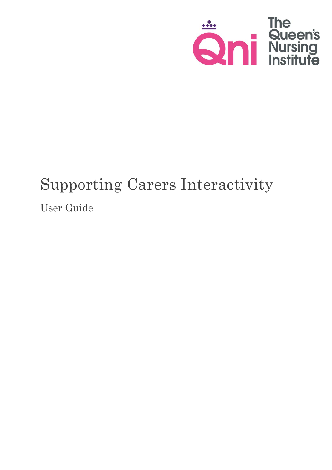

# Supporting Carers Interactivity

User Guide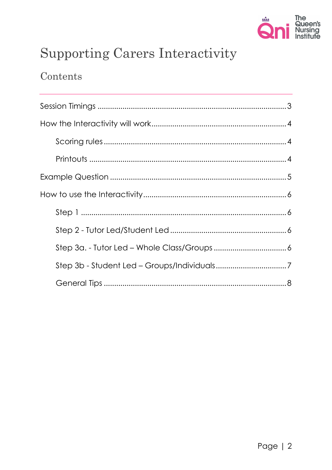

## **Supporting Carers Interactivity**

### Contents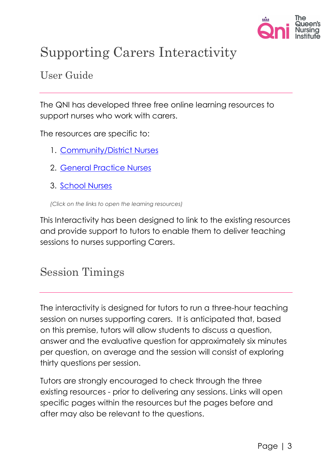

## Supporting Carers Interactivity

### User Guide

The QNI has developed three free online learning resources to support nurses who work with carers.

The resources are specific to:

- 1. [Community/District Nurses](https://www.qni.org.uk/qni_learning_resource/index.html)
- 2. [General Practice Nurses](https://www.qni.org.uk/practice_nurses_learning_resource/index.html)
- 3. [School Nurses](https://www.qni.org.uk/school_nurse_learning_resources/index.html)

*(Click on the links to open the learning resources)*

This Interactivity has been designed to link to the existing resources and provide support to tutors to enable them to deliver teaching sessions to nurses supporting Carers.

## <span id="page-2-0"></span>Session Timings

The interactivity is designed for tutors to run a three-hour teaching session on nurses supporting carers. It is anticipated that, based on this premise, tutors will allow students to discuss a question, answer and the evaluative question for approximately six minutes per question, on average and the session will consist of exploring thirty questions per session.

Tutors are strongly encouraged to check through the three existing resources - prior to delivering any sessions. Links will open specific pages within the resources but the pages before and after may also be relevant to the questions.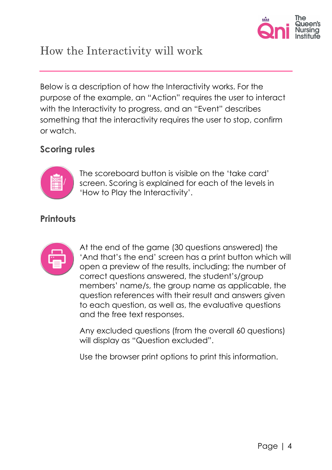

## <span id="page-3-0"></span>How the Interactivity will work

Below is a description of how the Interactivity works. For the purpose of the example, an "Action" requires the user to interact with the Interactivity to progress, and an "Event" describes something that the interactivity requires the user to stop, confirm or watch.

#### <span id="page-3-1"></span>**Scoring rules**



The scoreboard button is visible on the 'take card' screen. Scoring is explained for each of the levels in 'How to Play the Interactivity'.

#### <span id="page-3-2"></span>**Printouts**



At the end of the game (30 questions answered) the 'And that's the end' screen has a print button which will open a preview of the results, including; the number of correct questions answered, the student's/group members' name/s, the group name as applicable, the question references with their result and answers given to each question, as well as, the evaluative questions and the free text responses.

Any excluded questions (from the overall 60 questions) will display as "Question excluded".

Use the browser print options to print this information.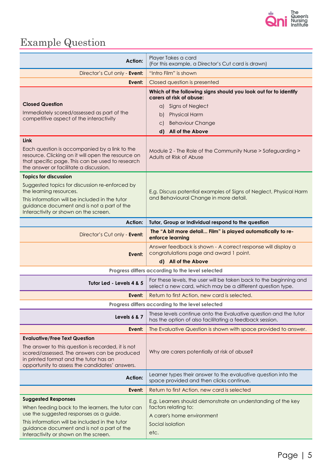

## <span id="page-4-0"></span>Example Question

| <b>Action:</b>                                                                                                                                                                                                                         | Player Takes a card<br>(For this example, a Director's Cut card is drawn)                                                        |  |
|----------------------------------------------------------------------------------------------------------------------------------------------------------------------------------------------------------------------------------------|----------------------------------------------------------------------------------------------------------------------------------|--|
| Director's Cut only - Event:                                                                                                                                                                                                           | "Intro Film" is shown                                                                                                            |  |
| Event:                                                                                                                                                                                                                                 | Closed question is presented                                                                                                     |  |
|                                                                                                                                                                                                                                        | Which of the following signs should you look out for to identify<br>carers at risk of abuse:                                     |  |
| <b>Closed Question</b>                                                                                                                                                                                                                 | <b>Signs of Neglect</b><br>a)                                                                                                    |  |
| Immediately scored/assessed as part of the                                                                                                                                                                                             | <b>Physical Harm</b><br>b)                                                                                                       |  |
| competitive aspect of the interactivity                                                                                                                                                                                                | <b>Behaviour Change</b><br>C)                                                                                                    |  |
|                                                                                                                                                                                                                                        | <b>All of the Above</b><br>$\mathsf{d}$                                                                                          |  |
| <b>Link</b><br>Each question is accompanied by a link to the<br>resource. Clicking on it will open the resource on<br>that specific page. This can be used to research<br>the answer or facilitate a discussion.                       | Module 2 - The Role of the Community Nurse > Safeguarding ><br>Adults at Risk of Abuse                                           |  |
| <b>Topics for discussion</b>                                                                                                                                                                                                           |                                                                                                                                  |  |
| Suggested topics for discussion re-enforced by<br>the learning resources.<br>This information will be included in the tutor<br>guidance document and is not a part of the<br>Interactivity or shown on the screen.                     | E.g. Discuss potential examples of Signs of Neglect, Physical Harm<br>and Behavioural Change in more detail.                     |  |
| <b>Action:</b>                                                                                                                                                                                                                         | Tutor, Group or Individual respond to the question                                                                               |  |
| Director's Cut only - Event:                                                                                                                                                                                                           | The "A bit more detail Film" is played automatically to re-<br>enforce learning                                                  |  |
| Event:                                                                                                                                                                                                                                 | Answer feedback is shown - A correct response will display a<br>congratulations page and award 1 point.                          |  |
| d) All of the Above                                                                                                                                                                                                                    |                                                                                                                                  |  |
| Progress differs according to the level selected                                                                                                                                                                                       |                                                                                                                                  |  |
| Tutor Led - Levels 4 & 5                                                                                                                                                                                                               | For these levels, the user will be taken back to the beginning and<br>select a new card, which may be a different question type. |  |
| Event:                                                                                                                                                                                                                                 | Return to first Action, new card is selected.                                                                                    |  |
| Progress differs according to the level selected                                                                                                                                                                                       |                                                                                                                                  |  |
| Levels 6 & 7                                                                                                                                                                                                                           | These levels continue onto the Evaluative question and the tutor<br>has the option of also facilitating a feedback session.      |  |
| Event:                                                                                                                                                                                                                                 | The Evaluative Question is shown with space provided to answer.                                                                  |  |
| <b>Evaluative/Free Text Question</b><br>The answer to this question is recorded, it is not<br>scored/assessed. The answers can be produced<br>in printed format and the tutor has an<br>opportunity to assess the candidates' answers. | Why are carers potentially at risk of abuse?                                                                                     |  |
| <b>Action:</b>                                                                                                                                                                                                                         | Learner types their answer to the evaluative question into the<br>space provided and then clicks continue.                       |  |
| Event:                                                                                                                                                                                                                                 | Return to first Action, new card is selected                                                                                     |  |
| <b>Suggested Responses</b>                                                                                                                                                                                                             | E.g. Learners should demonstrate an understanding of the key                                                                     |  |
| When feeding back to the learners, the tutor can                                                                                                                                                                                       | factors relating to:                                                                                                             |  |
| use the suggested responses as a guide.                                                                                                                                                                                                | A carer's home environment                                                                                                       |  |
| This information will be included in the tutor<br>guidance document and is not a part of the<br>Interactivity or shown on the screen.                                                                                                  | Social isolation<br>etc.                                                                                                         |  |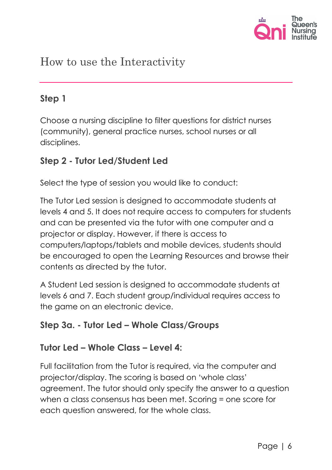

## <span id="page-5-0"></span>How to use the Interactivity

#### <span id="page-5-1"></span>**Step 1**

Choose a nursing discipline to filter questions for district nurses (community), general practice nurses, school nurses or all disciplines.

#### <span id="page-5-2"></span>**Step 2 - Tutor Led/Student Led**

Select the type of session you would like to conduct:

The Tutor Led session is designed to accommodate students at levels 4 and 5. It does not require access to computers for students and can be presented via the tutor with one computer and a projector or display. However, if there is access to computers/laptops/tablets and mobile devices, students should be encouraged to open the Learning Resources and browse their contents as directed by the tutor.

A Student Led session is designed to accommodate students at levels 6 and 7. Each student group/individual requires access to the game on an electronic device.

#### <span id="page-5-3"></span>**Step 3a. - Tutor Led – Whole Class/Groups**

#### **Tutor Led – Whole Class – Level 4:**

Full facilitation from the Tutor is required, via the computer and projector/display. The scoring is based on 'whole class' agreement. The tutor should only specify the answer to a question when a class consensus has been met. Scoring = one score for each question answered, for the whole class.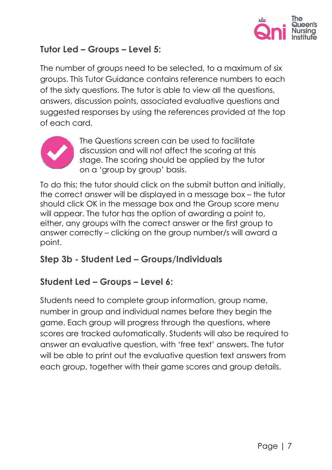

#### **Tutor Led – Groups – Level 5:**

The number of groups need to be selected, to a maximum of six groups. This Tutor Guidance contains reference numbers to each of the sixty questions. The tutor is able to view all the questions, answers, discussion points, associated evaluative questions and suggested responses by using the references provided at the top of each card.



The Questions screen can be used to facilitate discussion and will not affect the scoring at this stage. The scoring should be applied by the tutor on a 'group by group' basis.

To do this; the tutor should click on the submit button and initially, the correct answer will be displayed in a message box – the tutor should click OK in the message box and the Group score menu will appear. The tutor has the option of awarding a point to, either, any groups with the correct answer or the first group to answer correctly – clicking on the group number/s will award a point.

#### <span id="page-6-0"></span>**Step 3b - Student Led – Groups/Individuals**

#### **Student Led – Groups – Level 6:**

Students need to complete group information, group name, number in group and individual names before they begin the game. Each group will progress through the questions, where scores are tracked automatically. Students will also be required to answer an evaluative question, with 'free text' answers. The tutor will be able to print out the evaluative question text answers from each group, together with their game scores and group details.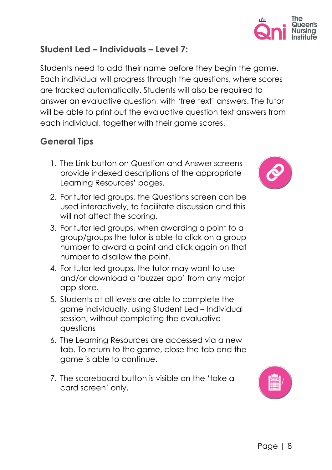#### **Student Led – Individuals – Level 7:**

Students need to add their name before they begin the game. Each individual will progress through the questions, where scores are tracked automatically. Students will also be required to answer an evaluative question, with 'free text' answers. The tutor will be able to print out the evaluative question text answers from each individual, together with their game scores.

#### <span id="page-7-0"></span>**General Tips**

- 1. The Link button on Question and Answer screens provide indexed descriptions of the appropriate Learning Resources' pages.
- 2. For tutor led groups, the Questions screen can be used interactively, to facilitate discussion and this will not affect the scoring.
- 3. For tutor led groups, when awarding a point to a group/groups the tutor is able to click on a group number to award a point and click again on that number to disallow the point.
- 4. For tutor led groups, the tutor may want to use and/or download a 'buzzer app' from any major app store.
- 5. Students at all levels are able to complete the game individually, using Student Led – Individual session, without completing the evaluative questions
- 6. The Learning Resources are accessed via a new tab. To return to the game, close the tab and the game is able to continue.
- 7. The scoreboard button is visible on the 'take a card screen' only.





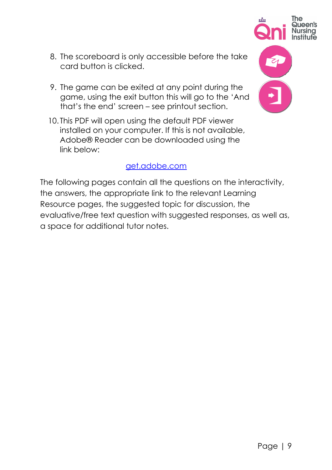Page | 9

- 8. The scoreboard is only accessible before the take card button is clicked.
- 9. The game can be exited at any point during the game, using the exit button this will go to the 'And that's the end' screen – see printout section.
- 10. This PDF will open using the default PDF viewer installed on your computer. If this is not available, Adobe® Reader can be downloaded using the link below:

#### [get.adobe.com](https://get.adobe.com/uk/reader/otherversions/)

The following pages contain all the questions on the interactivity, the answers, the appropriate link to the relevant Learning Resource pages, the suggested topic for discussion, the evaluative/free text question with suggested responses, as well as, a space for additional tutor notes.